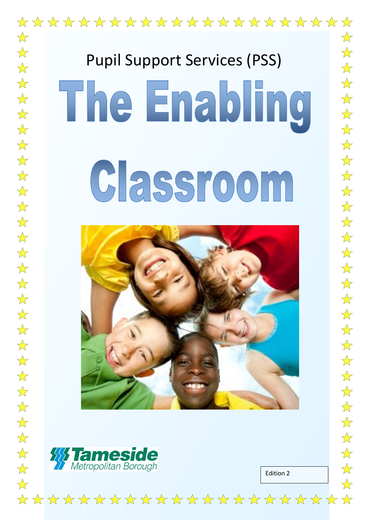

# Classroom





 $\frac{1}{\sqrt{2}}$ 

 $\overrightarrow{\mathbf{x}}$ 

 $\frac{1}{\sqrt{2}}$ 

 $\frac{1}{\sqrt{2}}$ 

 $\frac{1}{\sqrt{2}}$ 

 $\frac{\lambda}{\lambda}$ 

 $\frac{\lambda}{\lambda}$ 

 $\frac{1}{\sqrt{2}}$ 

 $\frac{1}{\sqrt{2}}$ 

 $\overrightarrow{x}$ 

 $\frac{1}{2}$ 

 $\overrightarrow{\lambda}$ 

 $\frac{1}{\sqrt{2}}$ 

 $\frac{1}{\sqrt{2}}$ 

 $\frac{1}{\sqrt{2}}$ 

 $\frac{\lambda}{\lambda}$ 

 $\overrightarrow{\mathbf{x}}$ 

 $\overrightarrow{\mathbf{x}}$ 

 $\overrightarrow{\mathbf{x}}$ 

 $\frac{\lambda}{\lambda}$ 

 $\overrightarrow{\mathbf{x}}$ 

 $\frac{1}{2}$ 

 $\frac{\lambda}{\lambda}$ 

 $\frac{1}{\sqrt{2}}$ 

 $\overrightarrow{\mathbf{x}}$ 

 $\frac{1}{\sqrt{2}}$ 

 $\frac{1}{\sqrt{2}}$ 

 $\frac{\lambda}{\lambda}$ 

 $\frac{1}{2}$ 

 $\frac{1}{2}$ 

 $\overrightarrow{\mathbf{x}}$ 

 $\frac{\lambda}{\lambda}$ 

 $\overrightarrow{\mathbf{x}}$ 

 $\frac{1}{\sqrt{2}}$ 

 $\frac{1}{2}$ 

 $\frac{1}{2}$ 

 $\overrightarrow{\mathbf{x}}$ 

 $\overrightarrow{\mathbf{x}}$ 

 $\overrightarrow{\mathbf{x}}$ 

 $\frac{1}{\sqrt{2}}$ 

 $\frac{\lambda}{\lambda}$ 

 $\overrightarrow{\lambda}$ 

Edition 2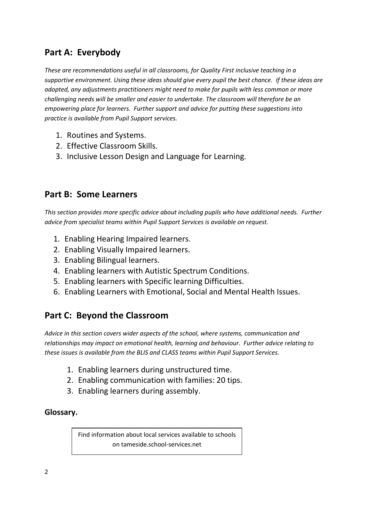# **Part A: Everybody**

*These are recommendations useful in all classrooms, for Quality First inclusive teaching in a supportive environment. Using these ideas should give every pupil the best chance. If these ideas are adopted, any adjustments practitioners might need to make for pupils with less common or more challenging needs will be smaller and easier to undertake. The classroom will therefore be an empowering place for learners. Further support and advice for putting these suggestions into practice is available from Pupil Support services.* 

- 1. Routines and Systems.
- 2. Effective Classroom Skills.
- 3. Inclusive Lesson Design and Language for Learning.

## **Part B: Some Learners**

*This section provides more specific advice about including pupils who have additional needs. Further advice from specialist teams within Pupil Support Services is available on request.*

- 1. Enabling Hearing Impaired learners.
- 2. Enabling Visually Impaired learners.
- 3. Enabling Bilingual learners.
- 4. Enabling learners with Autistic Spectrum Conditions.
- 5. Enabling learners with Specific learning Difficulties.
- 6. Enabling Learners with Emotional, Social and Mental Health Issues.

# **Part C: Beyond the Classroom**

*Advice in this section covers wider aspects of the school, where systems, communication and relationships may impact on emotional health, learning and behaviour. Further advice relating to these issues is available from the BLIS and CLASS teams within Pupil Support Services.*

- 1. Enabling learners during unstructured time.
- 2. Enabling communication with families: 20 tips.
- 3. Enabling learners during assembly.

## **Glossary.**

Find information about local services available to schools on tameside.school-services.net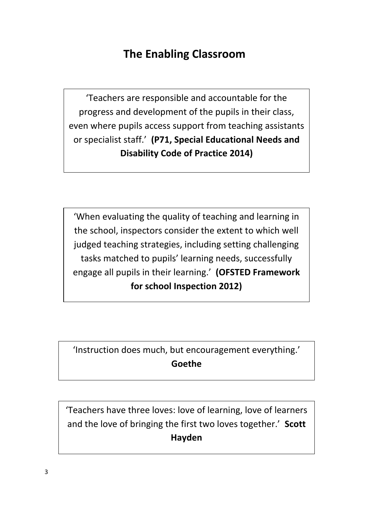# **The Enabling Classroom**

'Teachers are responsible and accountable for the progress and development of the pupils in their class, even where pupils access support from teaching assistants or specialist staff.' **(P71, Special Educational Needs and Disability Code of Practice 2014)**

'When evaluating the quality of teaching and learning in the school, inspectors consider the extent to which well judged teaching strategies, including setting challenging tasks matched to pupils' learning needs, successfully engage all pupils in their learning.' **(OFSTED Framework for school Inspection 2012)**

'Instruction does much, but encouragement everything.' **Goethe**

'Teachers have three loves: love of learning, love of learners and the love of bringing the first two loves together.' **Scott Hayden**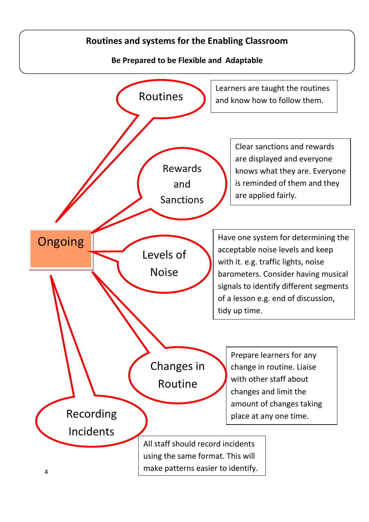# **Routines and systems for the Enabling Classroom**

**Be Prepared to be Flexible and Adaptable**

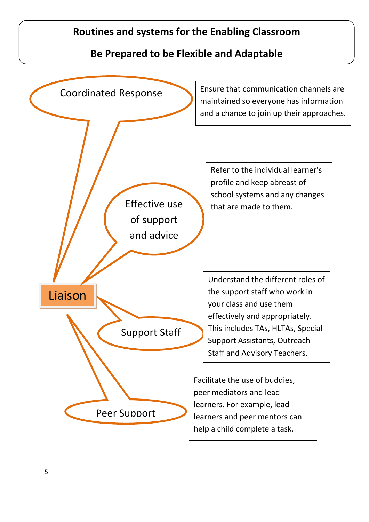# **Routines and systems for the Enabling Classroom**

# **Be Prepared to be Flexible and Adaptable**

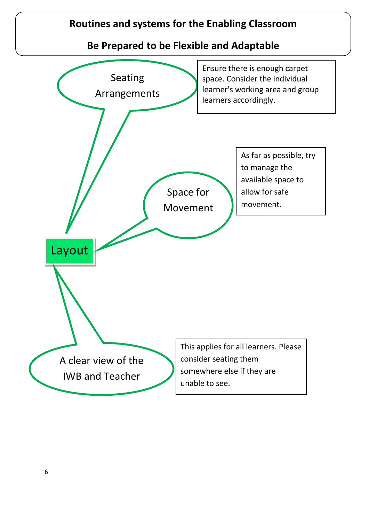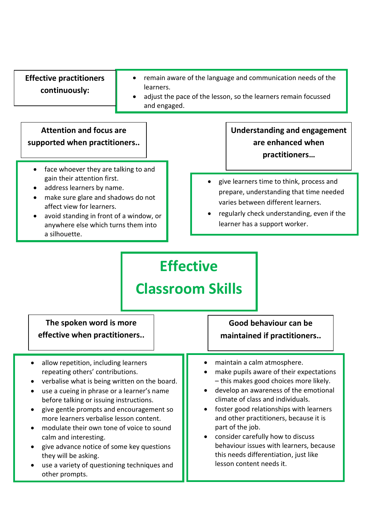| <b>Effective practitioners</b><br>remain aware of the language and communication needs of the<br>learners.<br>continuously:<br>adjust the pace of the lesson, so the learners remain focussed<br>and engaged.                                                                                                                                                                                                                                                                                                                                           |                                                                                                                                                                                                                                                                                                                                                                                                                                                              |
|---------------------------------------------------------------------------------------------------------------------------------------------------------------------------------------------------------------------------------------------------------------------------------------------------------------------------------------------------------------------------------------------------------------------------------------------------------------------------------------------------------------------------------------------------------|--------------------------------------------------------------------------------------------------------------------------------------------------------------------------------------------------------------------------------------------------------------------------------------------------------------------------------------------------------------------------------------------------------------------------------------------------------------|
| <b>Attention and focus are</b><br>supported when practitioners                                                                                                                                                                                                                                                                                                                                                                                                                                                                                          | <b>Understanding and engagement</b><br>are enhanced when<br>practitioners                                                                                                                                                                                                                                                                                                                                                                                    |
| face whoever they are talking to and<br>$\bullet$<br>gain their attention first.<br>address learners by name.<br>make sure glare and shadows do not<br>$\bullet$<br>affect view for learners.<br>avoid standing in front of a window, or<br>anywhere else which turns them into<br>a silhouette.                                                                                                                                                                                                                                                        | give learners time to think, process and<br>prepare, understanding that time needed<br>varies between different learners.<br>regularly check understanding, even if the<br>$\bullet$<br>learner has a support worker.<br><b>Effective</b><br><b>Classroom Skills</b>                                                                                                                                                                                         |
| The spoken word is more<br>effective when practitioners.                                                                                                                                                                                                                                                                                                                                                                                                                                                                                                | Good behaviour can be<br>maintained if practitioners                                                                                                                                                                                                                                                                                                                                                                                                         |
| allow repetition, including learners<br>$\bullet$<br>repeating others' contributions.<br>verbalise what is being written on the board.<br>use a cueing in phrase or a learner's name<br>before talking or issuing instructions.<br>give gentle prompts and encouragement so<br>$\bullet$<br>more learners verbalise lesson content.<br>modulate their own tone of voice to sound<br>$\bullet$<br>calm and interesting.<br>give advance notice of some key questions<br>$\bullet$<br>they will be asking.<br>use a variety of questioning techniques and | maintain a calm atmosphere.<br>make pupils aware of their expectations<br>- this makes good choices more likely.<br>develop an awareness of the emotional<br>climate of class and individuals.<br>foster good relationships with learners<br>and other practitioners, because it is<br>part of the job.<br>consider carefully how to discuss<br>behaviour issues with learners, because<br>this needs differentiation, just like<br>lesson content needs it. |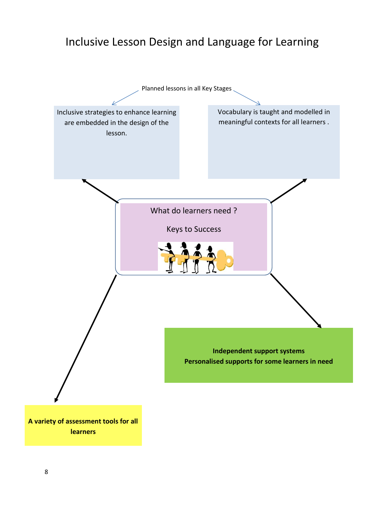# Inclusive Lesson Design and Language for Learning

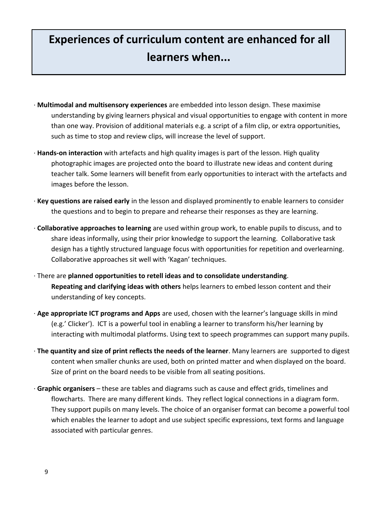# **Experiences of curriculum content are enhanced for all learners when...**

- · **Multimodal and multisensory experiences** are embedded into lesson design. These maximise understanding by giving learners physical and visual opportunities to engage with content in more than one way. Provision of additional materials e.g. a script of a film clip, or extra opportunities, such as time to stop and review clips, will increase the level of support.
- · **Hands-on interaction** with artefacts and high quality images is part of the lesson. High quality photographic images are projected onto the board to illustrate new ideas and content during teacher talk. Some learners will benefit from early opportunities to interact with the artefacts and images before the lesson.
- · **Key questions are raised early** in the lesson and displayed prominently to enable learners to consider the questions and to begin to prepare and rehearse their responses as they are learning.
- · **Collaborative approaches to learning** are used within group work, to enable pupils to discuss, and to share ideas informally, using their prior knowledge to support the learning. Collaborative task design has a tightly structured language focus with opportunities for repetition and overlearning. Collaborative approaches sit well with 'Kagan' techniques.
- · There are **planned opportunities to retell ideas and to consolidate understanding**. **Repeating and clarifying ideas with others** helps learners to embed lesson content and their understanding of key concepts.
- · **Age appropriate ICT programs and Apps** are used, chosen with the learner's language skills in mind (e.g.' Clicker'). ICT is a powerful tool in enabling a learner to transform his/her learning by interacting with multimodal platforms. Using text to speech programmes can support many pupils.
- · **The quantity and size of print reflects the needs of the learner**. Many learners are supported to digest content when smaller chunks are used, both on printed matter and when displayed on the board. Size of print on the board needs to be visible from all seating positions.
- · **Graphic organisers**  these are tables and diagrams such as cause and effect grids, timelines and flowcharts. There are many different kinds. They reflect logical connections in a diagram form. They support pupils on many levels. The choice of an organiser format can become a powerful tool which enables the learner to adopt and use subject specific expressions, text forms and language associated with particular genres.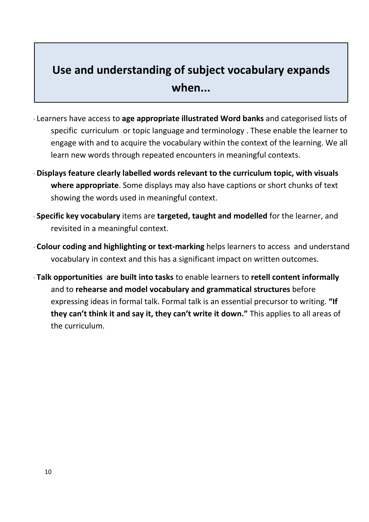# **Use and understanding of subject vocabulary expands when...**

- · Learners have access to **age appropriate illustrated Word banks** and categorised lists of specific curriculum or topic language and terminology . These enable the learner to engage with and to acquire the vocabulary within the context of the learning. We all learn new words through repeated encounters in meaningful contexts.
- · **Displays feature clearly labelled words relevant to the curriculum topic, with visuals where appropriate**. Some displays may also have captions or short chunks of text showing the words used in meaningful context.
- · **Specific key vocabulary** items are **targeted, taught and modelled** for the learner, and revisited in a meaningful context.
- · **Colour coding and highlighting or text-marking** helps learners to access and understand vocabulary in context and this has a significant impact on written outcomes.
- · **Talk opportunities are built into tasks** to enable learners to **retell content informally** and to **rehearse and model vocabulary and grammatical structures** before expressing ideas in formal talk. Formal talk is an essential precursor to writing. **"If they can't think it and say it, they can't write it down."** This applies to all areas of the curriculum.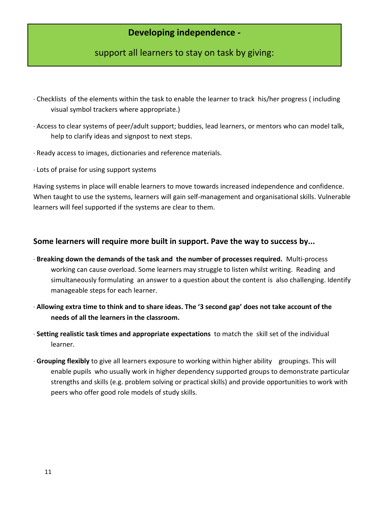## **Developing independence -**

## support all learners to stay on task by giving:

- · Checklists of the elements within the task to enable the learner to track his/her progress ( including visual symbol trackers where appropriate.)
- · Access to clear systems of peer/adult support; buddies, lead learners, or mentors who can model talk, help to clarify ideas and signpost to next steps.
- · Ready access to images, dictionaries and reference materials.
- · Lots of praise for using support systems

Having systems in place will enable learners to move towards increased independence and confidence. When taught to use the systems, learners will gain self-management and organisational skills. Vulnerable learners will feel supported if the systems are clear to them.

## **Some learners will require more built in support. Pave the way to success by...**

- · **Breaking down the demands of the task and the number of processes required.** Multi-process working can cause overload. Some learners may struggle to listen whilst writing. Reading and simultaneously formulating an answer to a question about the content is also challenging. Identify manageable steps for each learner.
- · **Allowing extra time to think and to share ideas. The '3 second gap' does not take account of the needs of all the learners in the classroom.**
- · **Setting realistic task times and appropriate expectations** to match the skill set of the individual learner.
- · **Grouping flexibly** to give all learners exposure to working within higher ability groupings. This will enable pupils who usually work in higher dependency supported groups to demonstrate particular strengths and skills (e.g. problem solving or practical skills) and provide opportunities to work with peers who offer good role models of study skills.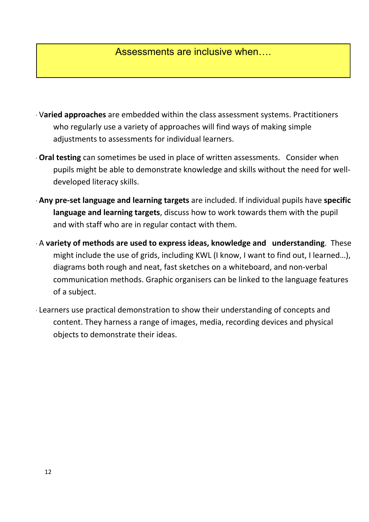# Assessments are inclusive when….

- · V**aried approaches** are embedded within the class assessment systems. Practitioners who regularly use a variety of approaches will find ways of making simple adjustments to assessments for individual learners.
- · **Oral testing** can sometimes be used in place of written assessments. Consider when pupils might be able to demonstrate knowledge and skills without the need for welldeveloped literacy skills.
- · **Any pre-set language and learning targets** are included. If individual pupils have **specific language and learning targets**, discuss how to work towards them with the pupil and with staff who are in regular contact with them.
- · A **variety of methods are used to express ideas, knowledge and understanding**. These might include the use of grids, including KWL (I know, I want to find out, I learned…), diagrams both rough and neat, fast sketches on a whiteboard, and non-verbal communication methods. Graphic organisers can be linked to the language features of a subject.
- · Learners use practical demonstration to show their understanding of concepts and content. They harness a range of images, media, recording devices and physical objects to demonstrate their ideas.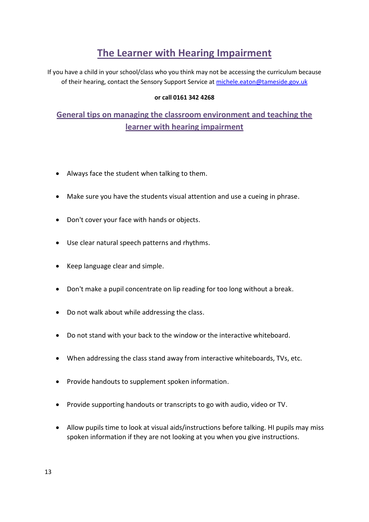# **The Learner with Hearing Impairment**

If you have a child in your school/class who you think may not be accessing the curriculum because of their hearing, contact the Sensory Support Service at [michele.eaton@tameside.gov.uk](mailto:michele.eaton@tameside.gov.uk)

## **or call 0161 342 4268**

# **General tips on managing the classroom environment and teaching the learner with hearing impairment**

- Always face the student when talking to them.
- Make sure you have the students visual attention and use a cueing in phrase.
- Don't cover your face with hands or objects.
- Use clear natural speech patterns and rhythms.
- Keep language clear and simple.
- Don't make a pupil concentrate on lip reading for too long without a break.
- Do not walk about while addressing the class.
- Do not stand with your back to the window or the interactive whiteboard.
- When addressing the class stand away from interactive whiteboards, TVs, etc.
- Provide handouts to supplement spoken information.
- Provide supporting handouts or transcripts to go with audio, video or TV.
- Allow pupils time to look at visual aids/instructions before talking. HI pupils may miss spoken information if they are not looking at you when you give instructions.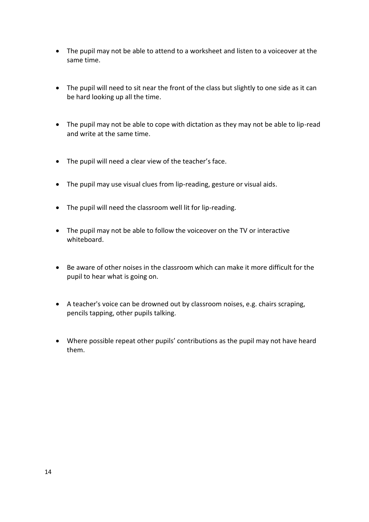- The pupil may not be able to attend to a worksheet and listen to a voiceover at the same time.
- The pupil will need to sit near the front of the class but slightly to one side as it can be hard looking up all the time.
- The pupil may not be able to cope with dictation as they may not be able to lip-read and write at the same time.
- The pupil will need a clear view of the teacher's face.
- The pupil may use visual clues from lip-reading, gesture or visual aids.
- The pupil will need the classroom well lit for lip-reading.
- The pupil may not be able to follow the voiceover on the TV or interactive whiteboard.
- Be aware of other noises in the classroom which can make it more difficult for the pupil to hear what is going on.
- A teacher's voice can be drowned out by classroom noises, e.g. chairs scraping, pencils tapping, other pupils talking.
- Where possible repeat other pupils' contributions as the pupil may not have heard them.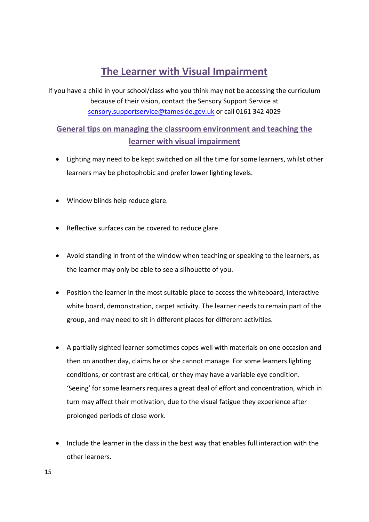# **The Learner with Visual Impairment**

If you have a child in your school/class who you think may not be accessing the curriculum because of their vision, contact the Sensory Support Service at [sensory.supportservice@tameside.gov.uk](mailto:sensory.supportservice@tameside.gov.uk) or call 0161 342 4029

## **General tips on managing the classroom environment and teaching the learner with visual impairment**

- Lighting may need to be kept switched on all the time for some learners, whilst other learners may be photophobic and prefer lower lighting levels.
- Window blinds help reduce glare.
- Reflective surfaces can be covered to reduce glare.
- Avoid standing in front of the window when teaching or speaking to the learners, as the learner may only be able to see a silhouette of you.
- Position the learner in the most suitable place to access the whiteboard, interactive white board, demonstration, carpet activity. The learner needs to remain part of the group, and may need to sit in different places for different activities.
- A partially sighted learner sometimes copes well with materials on one occasion and then on another day, claims he or she cannot manage. For some learners lighting conditions, or contrast are critical, or they may have a variable eye condition. 'Seeing' for some learners requires a great deal of effort and concentration, which in turn may affect their motivation, due to the visual fatigue they experience after prolonged periods of close work.
- Include the learner in the class in the best way that enables full interaction with the other learners.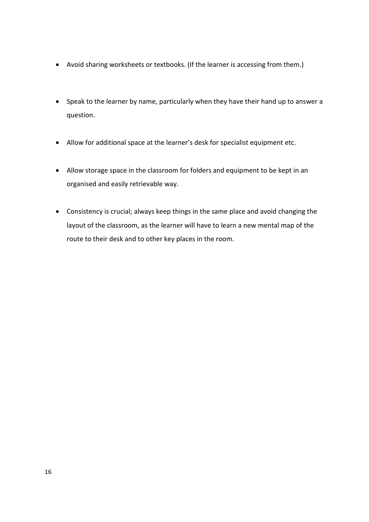- Avoid sharing worksheets or textbooks. (If the learner is accessing from them.)
- Speak to the learner by name, particularly when they have their hand up to answer a question.
- Allow for additional space at the learner's desk for specialist equipment etc.
- Allow storage space in the classroom for folders and equipment to be kept in an organised and easily retrievable way.
- Consistency is crucial; always keep things in the same place and avoid changing the layout of the classroom, as the learner will have to learn a new mental map of the route to their desk and to other key places in the room.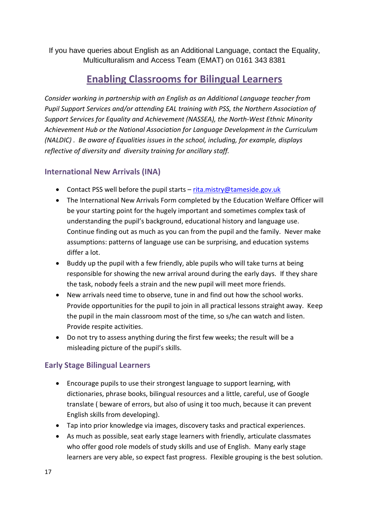If you have queries about English as an Additional Language, contact the Equality, Multiculturalism and Access Team (EMAT) on 0161 343 8381

# **Enabling Classrooms for Bilingual Learners**

*Consider working in partnership with an English as an Additional Language teacher from Pupil Support Services and/or attending EAL training with PSS, the Northern Association of Support Services for Equality and Achievement (NASSEA), the North-West Ethnic Minority Achievement Hub or the National Association for Language Development in the Curriculum (NALDIC) . Be aware of Equalities issues in the school, including, for example, displays reflective of diversity and diversity training for ancillary staff.* 

## **International New Arrivals (INA)**

- Contact PSS well before the pupil starts [rita.mistry@tameside.gov.uk](mailto:rita.mistry@tameside.gov.uk)
- The International New Arrivals Form completed by the Education Welfare Officer will be your starting point for the hugely important and sometimes complex task of understanding the pupil's background, educational history and language use. Continue finding out as much as you can from the pupil and the family. Never make assumptions: patterns of language use can be surprising, and education systems differ a lot.
- Buddy up the pupil with a few friendly, able pupils who will take turns at being responsible for showing the new arrival around during the early days. If they share the task, nobody feels a strain and the new pupil will meet more friends.
- New arrivals need time to observe, tune in and find out how the school works. Provide opportunities for the pupil to join in all practical lessons straight away. Keep the pupil in the main classroom most of the time, so s/he can watch and listen. Provide respite activities.
- Do not try to assess anything during the first few weeks; the result will be a misleading picture of the pupil's skills.

## **Early Stage Bilingual Learners**

- Encourage pupils to use their strongest language to support learning, with dictionaries, phrase books, bilingual resources and a little, careful, use of Google translate ( beware of errors, but also of using it too much, because it can prevent English skills from developing).
- Tap into prior knowledge via images, discovery tasks and practical experiences.
- As much as possible, seat early stage learners with friendly, articulate classmates who offer good role models of study skills and use of English. Many early stage learners are very able, so expect fast progress. Flexible grouping is the best solution.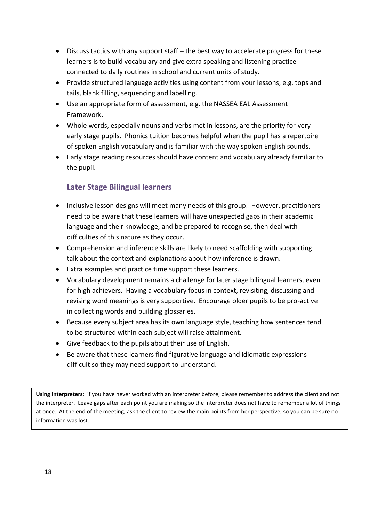- Discuss tactics with any support staff the best way to accelerate progress for these learners is to build vocabulary and give extra speaking and listening practice connected to daily routines in school and current units of study.
- Provide structured language activities using content from your lessons, e.g. tops and tails, blank filling, sequencing and labelling.
- Use an appropriate form of assessment, e.g. the NASSEA EAL Assessment Framework.
- Whole words, especially nouns and verbs met in lessons, are the priority for very early stage pupils. Phonics tuition becomes helpful when the pupil has a repertoire of spoken English vocabulary and is familiar with the way spoken English sounds.
- Early stage reading resources should have content and vocabulary already familiar to the pupil.

## **Later Stage Bilingual learners**

- Inclusive lesson designs will meet many needs of this group. However, practitioners need to be aware that these learners will have unexpected gaps in their academic language and their knowledge, and be prepared to recognise, then deal with difficulties of this nature as they occur.
- Comprehension and inference skills are likely to need scaffolding with supporting talk about the context and explanations about how inference is drawn.
- Extra examples and practice time support these learners.
- Vocabulary development remains a challenge for later stage bilingual learners, even for high achievers. Having a vocabulary focus in context, revisiting, discussing and revising word meanings is very supportive. Encourage older pupils to be pro-active in collecting words and building glossaries.
- Because every subject area has its own language style, teaching how sentences tend to be structured within each subject will raise attainment.
- Give feedback to the pupils about their use of English.
- Be aware that these learners find figurative language and idiomatic expressions difficult so they may need support to understand.

**Using Interpreters**: if you have never worked with an interpreter before, please remember to address the client and not the interpreter. Leave gaps after each point you are making so the interpreter does not have to remember a lot of things at once. At the end of the meeting, ask the client to review the main points from her perspective, so you can be sure no information was lost.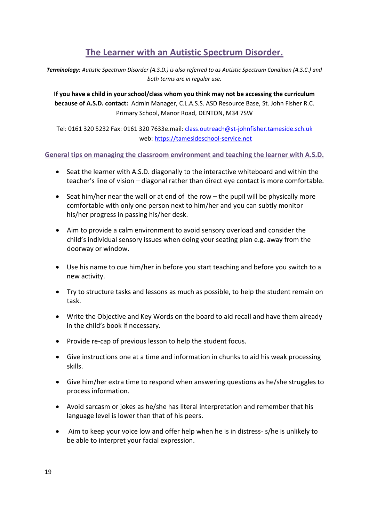# **The Learner with an Autistic Spectrum Disorder.**

*Terminology: Autistic Spectrum Disorder (A.S.D.) is also referred to as Autistic Spectrum Condition (A.S.C.) and both terms are in regular use.*

**If you have a child in your school/class whom you think may not be accessing the curriculum because of A.S.D. contact:** Admin Manager, C.L.A.S.S. ASD Resource Base, St. John Fisher R.C. Primary School, Manor Road, DENTON, M34 7SW

Tel: 0161 320 5232 Fax: 0161 320 7633e.mail: [class.outreach@st-johnfisher.tameside.sch.uk](mailto:class.outreach@st-johnfisher.tameside.sch.uk) web: [https://tamesideschool-service.net](https://tamesideschool-service.net/)

**General tips on managing the classroom environment and teaching the learner with A.S.D.**

- Seat the learner with A.S.D. diagonally to the interactive whiteboard and within the teacher's line of vision – diagonal rather than direct eye contact is more comfortable.
- Seat him/her near the wall or at end of the row the pupil will be physically more comfortable with only one person next to him/her and you can subtly monitor his/her progress in passing his/her desk.
- Aim to provide a calm environment to avoid sensory overload and consider the child's individual sensory issues when doing your seating plan e.g. away from the doorway or window.
- Use his name to cue him/her in before you start teaching and before you switch to a new activity.
- Try to structure tasks and lessons as much as possible, to help the student remain on task.
- Write the Objective and Key Words on the board to aid recall and have them already in the child's book if necessary.
- Provide re-cap of previous lesson to help the student focus.
- Give instructions one at a time and information in chunks to aid his weak processing skills.
- Give him/her extra time to respond when answering questions as he/she struggles to process information.
- Avoid sarcasm or jokes as he/she has literal interpretation and remember that his language level is lower than that of his peers.
- Aim to keep your voice low and offer help when he is in distress- s/he is unlikely to be able to interpret your facial expression.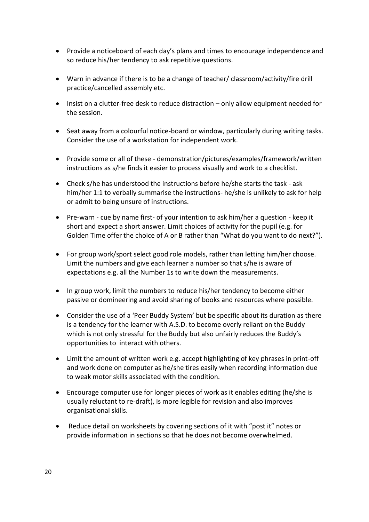- Provide a noticeboard of each day's plans and times to encourage independence and so reduce his/her tendency to ask repetitive questions.
- Warn in advance if there is to be a change of teacher/ classroom/activity/fire drill practice/cancelled assembly etc.
- Insist on a clutter-free desk to reduce distraction only allow equipment needed for the session.
- Seat away from a colourful notice-board or window, particularly during writing tasks. Consider the use of a workstation for independent work.
- Provide some or all of these demonstration/pictures/examples/framework/written instructions as s/he finds it easier to process visually and work to a checklist.
- Check s/he has understood the instructions before he/she starts the task ask him/her 1:1 to verbally summarise the instructions- he/she is unlikely to ask for help or admit to being unsure of instructions.
- Pre-warn cue by name first- of your intention to ask him/her a question keep it short and expect a short answer. Limit choices of activity for the pupil (e.g. for Golden Time offer the choice of A or B rather than "What do you want to do next?").
- For group work/sport select good role models, rather than letting him/her choose. Limit the numbers and give each learner a number so that s/he is aware of expectations e.g. all the Number 1s to write down the measurements.
- In group work, limit the numbers to reduce his/her tendency to become either passive or domineering and avoid sharing of books and resources where possible.
- Consider the use of a 'Peer Buddy System' but be specific about its duration as there is a tendency for the learner with A.S.D. to become overly reliant on the Buddy which is not only stressful for the Buddy but also unfairly reduces the Buddy's opportunities to interact with others.
- Limit the amount of written work e.g. accept highlighting of key phrases in print-off and work done on computer as he/she tires easily when recording information due to weak motor skills associated with the condition.
- Encourage computer use for longer pieces of work as it enables editing (he/she is usually reluctant to re-draft), is more legible for revision and also improves organisational skills.
- Reduce detail on worksheets by covering sections of it with "post it" notes or provide information in sections so that he does not become overwhelmed.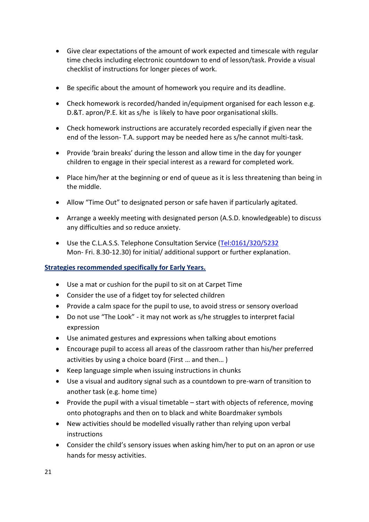- Give clear expectations of the amount of work expected and timescale with regular time checks including electronic countdown to end of lesson/task. Provide a visual checklist of instructions for longer pieces of work.
- Be specific about the amount of homework you require and its deadline.
- Check homework is recorded/handed in/equipment organised for each lesson e.g. D.&T. apron/P.E. kit as s/he is likely to have poor organisational skills.
- Check homework instructions are accurately recorded especially if given near the end of the lesson- T.A. support may be needed here as s/he cannot multi-task.
- Provide 'brain breaks' during the lesson and allow time in the day for younger children to engage in their special interest as a reward for completed work.
- Place him/her at the beginning or end of queue as it is less threatening than being in the middle.
- Allow "Time Out" to designated person or safe haven if particularly agitated.
- Arrange a weekly meeting with designated person (A.S.D. knowledgeable) to discuss any difficulties and so reduce anxiety.
- Use the C.L.A.S.S. Telephone Consultation Service [\(Tel:0161/320/5232](tel:0161/320/5232) Mon- Fri. 8.30-12.30) for initial/ additional support or further explanation.

## **Strategies recommended specifically for Early Years.**

- Use a mat or cushion for the pupil to sit on at Carpet Time
- Consider the use of a fidget toy for selected children
- Provide a calm space for the pupil to use, to avoid stress or sensory overload
- Do not use "The Look" it may not work as s/he struggles to interpret facial expression
- Use animated gestures and expressions when talking about emotions
- Encourage pupil to access all areas of the classroom rather than his/her preferred activities by using a choice board (First … and then… )
- Keep language simple when issuing instructions in chunks
- Use a visual and auditory signal such as a countdown to pre-warn of transition to another task (e.g. home time)
- Provide the pupil with a visual timetable  $-$  start with objects of reference, moving onto photographs and then on to black and white Boardmaker symbols
- New activities should be modelled visually rather than relying upon verbal instructions
- Consider the child's sensory issues when asking him/her to put on an apron or use hands for messy activities.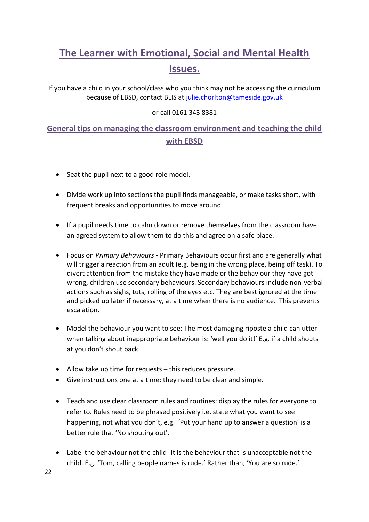# **The Learner with Emotional, Social and Mental Health Issues.**

If you have a child in your school/class who you think may not be accessing the curriculum because of EBSD, contact BLIS at [julie.chorlton@tameside.gov.uk](mailto:julie.chorlton@tameside.gov.uk)

## or call 0161 343 8381

## **General tips on managing the classroom environment and teaching the child with EBSD**

- Seat the pupil next to a good role model.
- Divide work up into sections the pupil finds manageable, or make tasks short, with frequent breaks and opportunities to move around.
- If a pupil needs time to calm down or remove themselves from the classroom have an agreed system to allow them to do this and agree on a safe place.
- Focus on *Primary Behaviours*  Primary Behaviours occur first and are generally what will trigger a reaction from an adult (e.g. being in the wrong place, being off task). To divert attention from the mistake they have made or the behaviour they have got wrong, children use secondary behaviours. Secondary behaviours include non-verbal actions such as sighs, tuts, rolling of the eyes etc. They are best ignored at the time and picked up later if necessary, at a time when there is no audience. This prevents escalation.
- Model the behaviour you want to see: The most damaging riposte a child can utter when talking about inappropriate behaviour is: 'well you do it!' E.g. if a child shouts at you don't shout back.
- Allow take up time for requests this reduces pressure.
- Give instructions one at a time: they need to be clear and simple.
- Teach and use clear classroom rules and routines; display the rules for everyone to refer to. Rules need to be phrased positively i.e. state what you want to see happening, not what you don't, e.g. 'Put your hand up to answer a question' is a better rule that 'No shouting out'.
- Label the behaviour not the child- It is the behaviour that is unacceptable not the child. E.g. 'Tom, calling people names is rude.' Rather than, 'You are so rude.'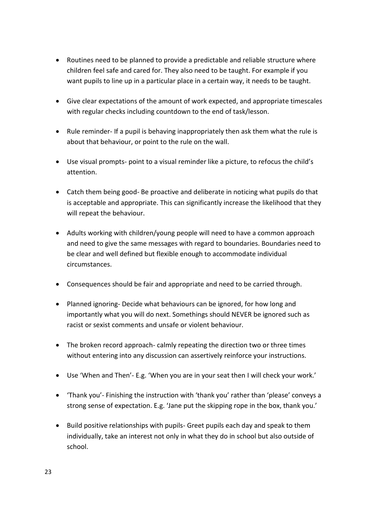- Routines need to be planned to provide a predictable and reliable structure where children feel safe and cared for. They also need to be taught. For example if you want pupils to line up in a particular place in a certain way, it needs to be taught.
- Give clear expectations of the amount of work expected, and appropriate timescales with regular checks including countdown to the end of task/lesson.
- Rule reminder- If a pupil is behaving inappropriately then ask them what the rule is about that behaviour, or point to the rule on the wall.
- Use visual prompts- point to a visual reminder like a picture, to refocus the child's attention.
- Catch them being good- Be proactive and deliberate in noticing what pupils do that is acceptable and appropriate. This can significantly increase the likelihood that they will repeat the behaviour.
- Adults working with children/young people will need to have a common approach and need to give the same messages with regard to boundaries. Boundaries need to be clear and well defined but flexible enough to accommodate individual circumstances.
- Consequences should be fair and appropriate and need to be carried through.
- Planned ignoring- Decide what behaviours can be ignored, for how long and importantly what you will do next. Somethings should NEVER be ignored such as racist or sexist comments and unsafe or violent behaviour.
- The broken record approach- calmly repeating the direction two or three times without entering into any discussion can assertively reinforce your instructions.
- Use 'When and Then'- E.g. 'When you are in your seat then I will check your work.'
- 'Thank you'- Finishing the instruction with 'thank you' rather than 'please' conveys a strong sense of expectation. E.g. 'Jane put the skipping rope in the box, thank you.'
- Build positive relationships with pupils- Greet pupils each day and speak to them individually, take an interest not only in what they do in school but also outside of school.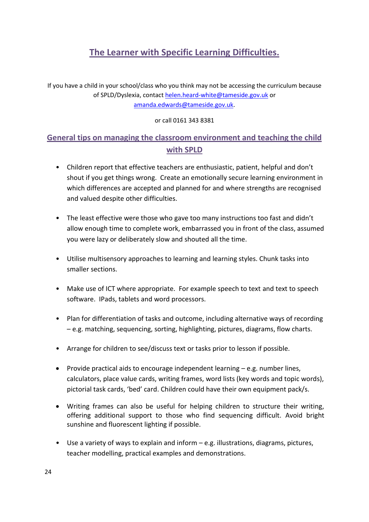# **The Learner with Specific Learning Difficulties.**

If you have a child in your school/class who you think may not be accessing the curriculum because of SPLD/Dyslexia, contac[t helen.heard-white@tameside.gov.uk](mailto:helen.heard-white@tameside.gov.uk) or [amanda.edwards@tameside.gov.uk.](mailto:amanda.edwards@tameside.gov.uk)

or call 0161 343 8381

# **General tips on managing the classroom environment and teaching the child with SPLD**

- Children report that effective teachers are enthusiastic, patient, helpful and don't shout if you get things wrong. Create an emotionally secure learning environment in which differences are accepted and planned for and where strengths are recognised and valued despite other difficulties.
- The least effective were those who gave too many instructions too fast and didn't allow enough time to complete work, embarrassed you in front of the class, assumed you were lazy or deliberately slow and shouted all the time.
- Utilise multisensory approaches to learning and learning styles. Chunk tasks into smaller sections.
- Make use of ICT where appropriate. For example speech to text and text to speech software. IPads, tablets and word processors.
- Plan for differentiation of tasks and outcome, including alternative ways of recording – e.g. matching, sequencing, sorting, highlighting, pictures, diagrams, flow charts.
- Arrange for children to see/discuss text or tasks prior to lesson if possible.
- Provide practical aids to encourage independent learning  $-e.g.$  number lines, calculators, place value cards, writing frames, word lists (key words and topic words), pictorial task cards, 'bed' card. Children could have their own equipment pack/s.
- Writing frames can also be useful for helping children to structure their writing, offering additional support to those who find sequencing difficult. Avoid bright sunshine and fluorescent lighting if possible.
- Use a variety of ways to explain and inform e.g. illustrations, diagrams, pictures, teacher modelling, practical examples and demonstrations.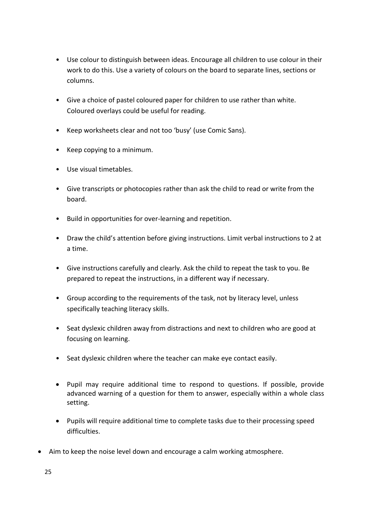- Use colour to distinguish between ideas. Encourage all children to use colour in their work to do this. Use a variety of colours on the board to separate lines, sections or columns.
- Give a choice of pastel coloured paper for children to use rather than white. Coloured overlays could be useful for reading.
- Keep worksheets clear and not too 'busy' (use Comic Sans).
- Keep copying to a minimum.
- Use visual timetables.
- Give transcripts or photocopies rather than ask the child to read or write from the board.
- Build in opportunities for over-learning and repetition.
- Draw the child's attention before giving instructions. Limit verbal instructions to 2 at a time.
- Give instructions carefully and clearly. Ask the child to repeat the task to you. Be prepared to repeat the instructions, in a different way if necessary.
- Group according to the requirements of the task, not by literacy level, unless specifically teaching literacy skills.
- Seat dyslexic children away from distractions and next to children who are good at focusing on learning.
- Seat dyslexic children where the teacher can make eye contact easily.
- Pupil may require additional time to respond to questions. If possible, provide advanced warning of a question for them to answer, especially within a whole class setting.
- Pupils will require additional time to complete tasks due to their processing speed difficulties.
- Aim to keep the noise level down and encourage a calm working atmosphere.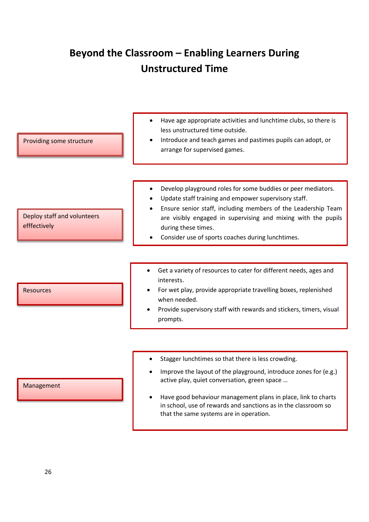# **Beyond the Classroom – Enabling Learners During Unstructured Time**

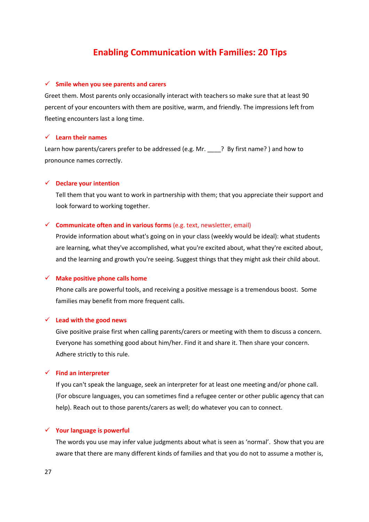## **Enabling Communication with Families: 20 Tips**

#### **Smile when you see parents and carers**

Greet them. Most parents only occasionally interact with teachers so make sure that at least 90 percent of your encounters with them are positive, warm, and friendly. The impressions left from fleeting encounters last a long time.

#### **Learn their names**

Learn how parents/carers prefer to be addressed (e.g. Mr. <br> **Example:** P By first name? ) and how to pronounce names correctly.

## **Declare your intention**

Tell them that you want to work in partnership with them; that you appreciate their support and look forward to working together.

#### $\checkmark$  **Communicate often and in various forms** (e.g. text, newsletter, email)

Provide information about what's going on in your class (weekly would be ideal): what students are learning, what they've accomplished, what you're excited about, what they're excited about, and the learning and growth you're seeing. Suggest things that they might ask their child about.

#### **Make positive phone calls home**

Phone calls are powerful tools, and receiving a positive message is a tremendous boost. Some families may benefit from more frequent calls.

#### **Lead with the good news**

Give positive praise first when calling parents/carers or meeting with them to discuss a concern. Everyone has something good about him/her. Find it and share it. Then share your concern. Adhere strictly to this rule.

#### **Find an interpreter**

If you can't speak the language, seek an interpreter for at least one meeting and/or phone call. (For obscure languages, you can sometimes find a refugee center or other public agency that can help). Reach out to those parents/carers as well; do whatever you can to connect.

## **Your language is powerful**

The words you use may infer value judgments about what is seen as 'normal'. Show that you are aware that there are many different kinds of families and that you do not to assume a mother is,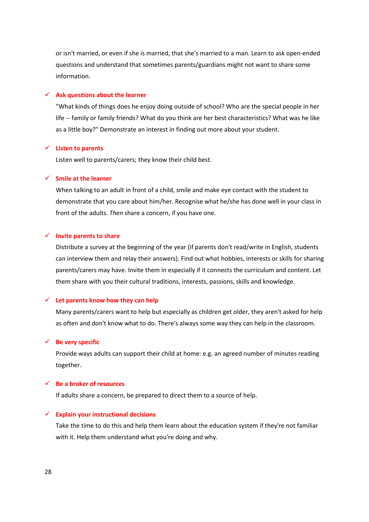or isn't married, or even if she is married, that she's married to a man. Learn to ask open-ended questions and understand that sometimes parents/guardians might not want to share some information.

## **Ask questions about the learner**

"What kinds of things does he enjoy doing outside of school? Who are the special people in her life -- family or family friends? What do you think are her best characteristics? What was he like as a little boy?" Demonstrate an interest in finding out more about your student.

#### **Listen to parents**

Listen well to parents/carers; they know their child best.

#### **Smile at the learner**

When talking to an adult in front of a child, smile and make eye contact with the student to demonstrate that you care about him/her. Recognise what he/she has done well in your class in front of the adults. *Then* share a concern, if you have one.

#### **Invite parents to share**

Distribute a survey at the beginning of the year (if parents don't read/write in English, students can interview them and relay their answers). Find out what hobbies, interests or skills for sharing parents/carers may have. Invite them in especially if it connects the curriculum and content. Let them share with you their cultural traditions, interests, passions, skills and knowledge.

#### **Let parents know how they can help**

Many parents/carers want to help but especially as children get older, they aren't asked for help as often and don't know what to do. There's always some way they can help in the classroom.

## **Be very specific**

Provide ways adults can support their child at home: e.g. an agreed number of minutes reading together.

## **Be a broker of resources**

If adults share a concern, be prepared to direct them to a source of help.

### **Explain your instructional decisions**

Take the time to do this and help them learn about the education system if they're not familiar with it. Help them understand what you're doing and why.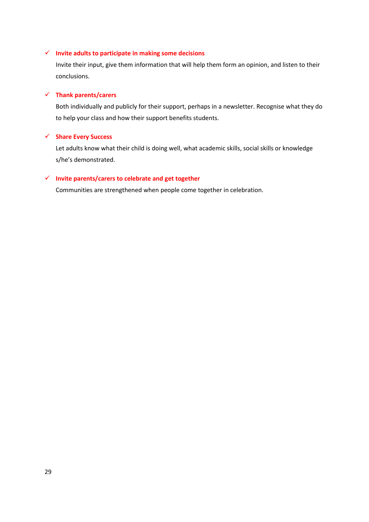## **Invite adults to participate in making some decisions**

Invite their input, give them information that will help them form an opinion, and listen to their conclusions.

## **Thank parents/carers**

Both individually and publicly for their support, perhaps in a newsletter. Recognise what they do to help your class and how their support benefits students.

## **Share Every Success**

Let adults know what their child is doing well, what academic skills, social skills or knowledge s/he's demonstrated.

## **Invite parents/carers to celebrate and get together**

Communities are strengthened when people come together in celebration.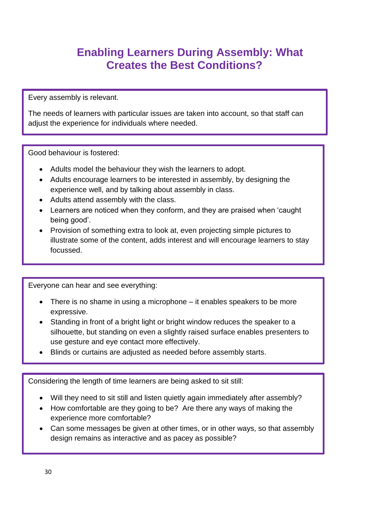# **Enabling Learners During Assembly: What Creates the Best Conditions?**

Every assembly is relevant.

The needs of learners with particular issues are taken into account, so that staff can adjust the experience for individuals where needed.

Good behaviour is fostered:

- Adults model the behaviour they wish the learners to adopt.
- Adults encourage learners to be interested in assembly, by designing the experience well, and by talking about assembly in class.
- Adults attend assembly with the class.
- Learners are noticed when they conform, and they are praised when 'caught being good'.
- Provision of something extra to look at, even projecting simple pictures to illustrate some of the content, adds interest and will encourage learners to stay focussed.

Everyone can hear and see everything:

- There is no shame in using a microphone it enables speakers to be more expressive.
- Standing in front of a bright light or bright window reduces the speaker to a silhouette, but standing on even a slightly raised surface enables presenters to use gesture and eye contact more effectively.
- Blinds or curtains are adjusted as needed before assembly starts.

Considering the length of time learners are being asked to sit still:

- Will they need to sit still and listen quietly again immediately after assembly?
- How comfortable are they going to be? Are there any ways of making the experience more comfortable?
- Can some messages be given at other times, or in other ways, so that assembly design remains as interactive and as pacey as possible?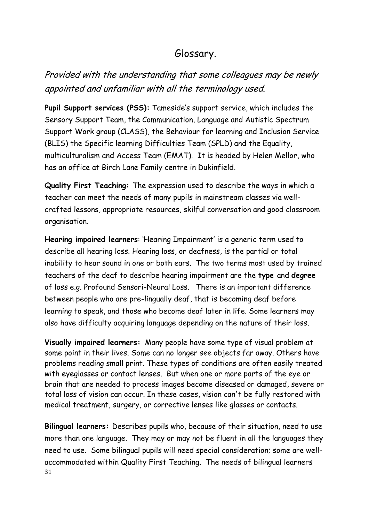# Glossary.

# Provided with the understanding that some colleagues may be newly appointed and unfamiliar with all the terminology used.

**Pupil Support services (PSS):** Tameside's support service, which includes the Sensory Support Team, the Communication, Language and Autistic Spectrum Support Work group (CLASS), the Behaviour for learning and Inclusion Service (BLIS) the Specific learning Difficulties Team (SPLD) and the Equality, multiculturalism and Access Team (EMAT). It is headed by Helen Mellor, who has an office at Birch Lane Family centre in Dukinfield.

**Quality First Teaching:** The expression used to describe the ways in which a teacher can meet the needs of many pupils in mainstream classes via wellcrafted lessons, appropriate resources, skilful conversation and good classroom organisation.

**Hearing impaired learners**: 'Hearing Impairment' is a generic term used to describe all hearing loss. Hearing loss, or deafness, is the partial or total inability to hear sound in one or both ears. The two terms most used by trained teachers of the deaf to describe hearing impairment are the **type** and **degree**  of loss e.g. Profound Sensori-Neural Loss. There is an important difference between people who are pre-lingually deaf, that is becoming deaf before learning to speak, and those who become deaf later in life. Some learners may also have difficulty acquiring language depending on the nature of their loss.

**Visually impaired learners:** Many people have some type of visual problem at some point in their lives. Some can no longer see objects far away. Others have problems reading small print. These types of conditions are often easily treated with eyeglasses or contact lenses. But when one or more parts of the eye or brain that are needed to process images become diseased or damaged, severe or total loss of vision can occur. In these cases, vision can't be fully restored with medical treatment, surgery, or corrective lenses like glasses or contacts.

31 **Bilingual learners:** Describes pupils who, because of their situation, need to use more than one language. They may or may not be fluent in all the languages they need to use. Some bilingual pupils will need special consideration; some are wellaccommodated within Quality First Teaching. The needs of bilingual learners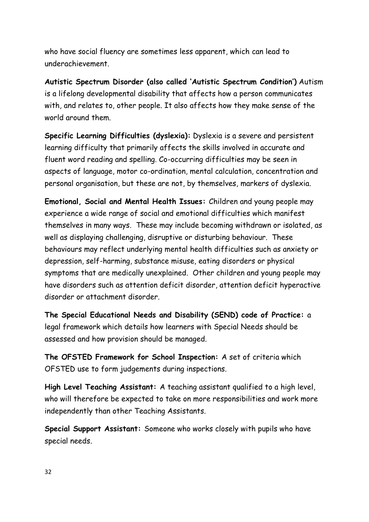who have social fluency are sometimes less apparent, which can lead to underachievement.

**Autistic Spectrum Disorder (also called 'Autistic Spectrum Condition')** Autism is a lifelong developmental disability that affects how a person communicates with, and relates to, other people. It also affects how they make sense of the world around them.

**Specific Learning Difficulties (dyslexia):** Dyslexia is a severe and persistent learning difficulty that primarily affects the skills involved in accurate and fluent word reading and spelling. Co-occurring difficulties may be seen in aspects of language, motor co-ordination, mental calculation, concentration and personal organisation, but these are not, by themselves, markers of dyslexia.

**Emotional, Social and Mental Health Issues:** Children and young people may experience a wide range of social and emotional difficulties which manifest themselves in many ways. These may include becoming withdrawn or isolated, as well as displaying challenging, disruptive or disturbing behaviour. These behaviours may reflect underlying mental health difficulties such as anxiety or depression, self-harming, substance misuse, eating disorders or physical symptoms that are medically unexplained. Other children and young people may have disorders such as attention deficit disorder, attention deficit hyperactive disorder or attachment disorder.

**The Special Educational Needs and Disability (SEND) code of Practice:** a legal framework which details how learners with Special Needs should be assessed and how provision should be managed.

**The OFSTED Framework for School Inspection:** A set of criteria which OFSTED use to form judgements during inspections.

**High Level Teaching Assistant:** A teaching assistant qualified to a high level, who will therefore be expected to take on more responsibilities and work more independently than other Teaching Assistants.

**Special Support Assistant:** Someone who works closely with pupils who have special needs.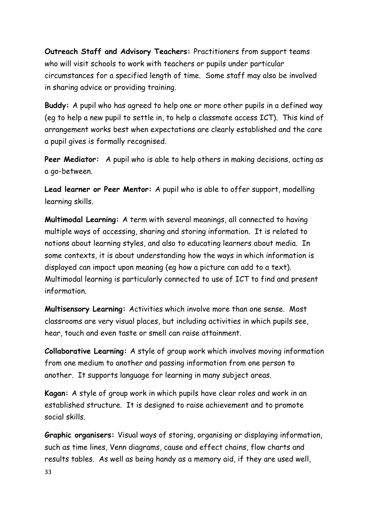**Outreach Staff and Advisory Teachers:** Practitioners from support teams who will visit schools to work with teachers or pupils under particular circumstances for a specified length of time. Some staff may also be involved in sharing advice or providing training.

**Buddy:** A pupil who has agreed to help one or more other pupils in a defined way (eg to help a new pupil to settle in, to help a classmate access ICT). This kind of arrangement works best when expectations are clearly established and the care a pupil gives is formally recognised.

**Peer Mediator:** A pupil who is able to help others in making decisions, acting as a go-between.

**Lead learner or Peer Mentor:** A pupil who is able to offer support, modelling learning skills.

**Multimodal Learning:** A term with several meanings, all connected to having multiple ways of accessing, sharing and storing information. It is related to notions about learning styles, and also to educating learners about media. In some contexts, it is about understanding how the ways in which information is displayed can impact upon meaning (eg how a picture can add to a text). Multimodal learning is particularly connected to use of ICT to find and present information.

**Multisensory Learning:** Activities which involve more than one sense. Most classrooms are very visual places, but including activities in which pupils see, hear, touch and even taste or smell can raise attainment.

**Collaborative Learning:** A style of group work which involves moving information from one medium to another and passing information from one person to another. It supports language for learning in many subject areas.

**Kagan:** A style of group work in which pupils have clear roles and work in an established structure. It is designed to raise achievement and to promote social skills.

**Graphic organisers:** Visual ways of storing, organising or displaying information, such as time lines, Venn diagrams, cause and effect chains, flow charts and results tables. As well as being handy as a memory aid, if they are used well,